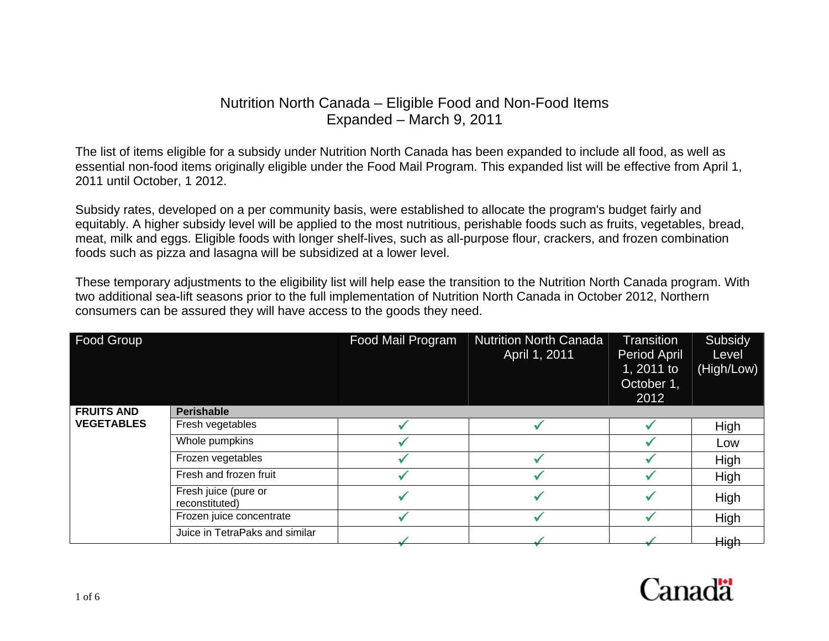## Nutrition North Canada – Eligible Food and Non-Food Items Expanded – March 9, 2011

The list of items eligible for a subsidy under Nutrition North Canada has been expanded to include all food, as well as essential non-food items originally eligible under the Food Mail Program. This expanded list will be effective from April 1, 2011 until October, 1 2012.

Subsidy rates, developed on a per community basis, were established to allocate the program's budget fairly and equitably. A higher subsidy level will be applied to the most nutritious, perishable foods such as fruits, vegetables, bread, meat, milk and eggs. Eligible foods with longer shelf-lives, such as all-purpose flour, crackers, and frozen combination foods such as pizza and lasagna will be subsidized at a lower level.

These temporary adjustments to the eligibility list will help ease the transition to the Nutrition North Canada program. With two additional sea-lift seasons prior to the full implementation of Nutrition North Canada in October 2012, Northern consumers can be assured they will have access to the goods they need.

| Food Group        |                                        | Food Mail Program | <b>Nutrition North Canada</b><br>April 1, 2011 | <b>Transition</b><br>Period April<br>1, 2011 to<br>October 1,<br>2012 | Subsidy<br>Level<br>(High/Low) |
|-------------------|----------------------------------------|-------------------|------------------------------------------------|-----------------------------------------------------------------------|--------------------------------|
| <b>FRUITS AND</b> | <b>Perishable</b>                      |                   |                                                |                                                                       |                                |
| <b>VEGETABLES</b> | Fresh vegetables                       |                   |                                                |                                                                       | High                           |
|                   | Whole pumpkins                         |                   |                                                |                                                                       | Low                            |
|                   | Frozen vegetables                      |                   |                                                |                                                                       | High                           |
|                   | Fresh and frozen fruit                 |                   |                                                |                                                                       | High                           |
|                   | Fresh juice (pure or<br>reconstituted) |                   |                                                |                                                                       | High                           |
|                   | Frozen juice concentrate               |                   |                                                |                                                                       | High                           |
|                   | Juice in TetraPaks and similar         |                   |                                                |                                                                       | High                           |

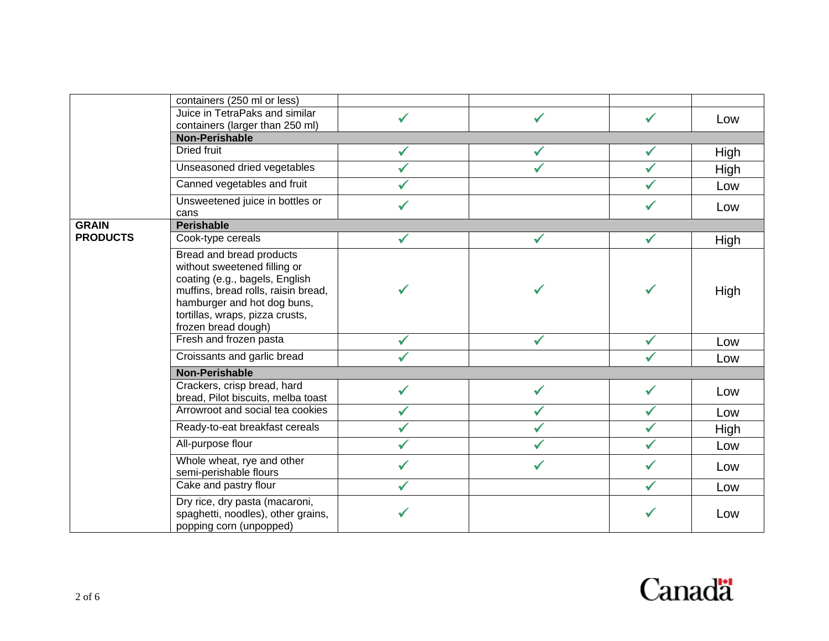|                 | containers (250 ml or less)                                                                                                                                                                                                       |              |              |              |      |  |  |
|-----------------|-----------------------------------------------------------------------------------------------------------------------------------------------------------------------------------------------------------------------------------|--------------|--------------|--------------|------|--|--|
|                 | Juice in TetraPaks and similar<br>containers (larger than 250 ml)                                                                                                                                                                 |              |              |              | Low  |  |  |
|                 | <b>Non-Perishable</b>                                                                                                                                                                                                             |              |              |              |      |  |  |
|                 | Dried fruit                                                                                                                                                                                                                       | ✓            |              | ✔            | High |  |  |
|                 | Unseasoned dried vegetables                                                                                                                                                                                                       |              |              | ✓            | High |  |  |
|                 | Canned vegetables and fruit                                                                                                                                                                                                       |              |              |              | Low  |  |  |
|                 | Unsweetened juice in bottles or<br>cans                                                                                                                                                                                           |              |              |              | Low  |  |  |
| <b>GRAIN</b>    | <b>Perishable</b>                                                                                                                                                                                                                 |              |              |              |      |  |  |
| <b>PRODUCTS</b> | Cook-type cereals                                                                                                                                                                                                                 | $\checkmark$ | $\checkmark$ | $\checkmark$ | High |  |  |
|                 | <b>Bread and bread products</b><br>without sweetened filling or<br>coating (e.g., bagels, English<br>muffins, bread rolls, raisin bread,<br>hamburger and hot dog buns,<br>tortillas, wraps, pizza crusts,<br>frozen bread dough) |              |              | ✓            | High |  |  |
|                 | Fresh and frozen pasta                                                                                                                                                                                                            | ✓            | ✓            | $\checkmark$ | Low  |  |  |
|                 | Croissants and garlic bread                                                                                                                                                                                                       |              |              |              | Low  |  |  |
|                 | <b>Non-Perishable</b>                                                                                                                                                                                                             |              |              |              |      |  |  |
|                 | Crackers, crisp bread, hard<br>bread, Pilot biscuits, melba toast                                                                                                                                                                 |              |              | ✓            | Low  |  |  |
|                 | Arrowroot and social tea cookies                                                                                                                                                                                                  | ✓            |              | ✓            | Low  |  |  |
|                 | Ready-to-eat breakfast cereals                                                                                                                                                                                                    |              |              | $\checkmark$ | High |  |  |
|                 | All-purpose flour                                                                                                                                                                                                                 | ✓            |              | ✓            | Low  |  |  |
|                 | Whole wheat, rye and other<br>semi-perishable flours                                                                                                                                                                              |              |              |              | Low  |  |  |
|                 | Cake and pastry flour                                                                                                                                                                                                             |              |              | ✓            | Low  |  |  |
|                 | Dry rice, dry pasta (macaroni,<br>spaghetti, noodles), other grains,<br>popping corn (unpopped)                                                                                                                                   |              |              |              | Low  |  |  |

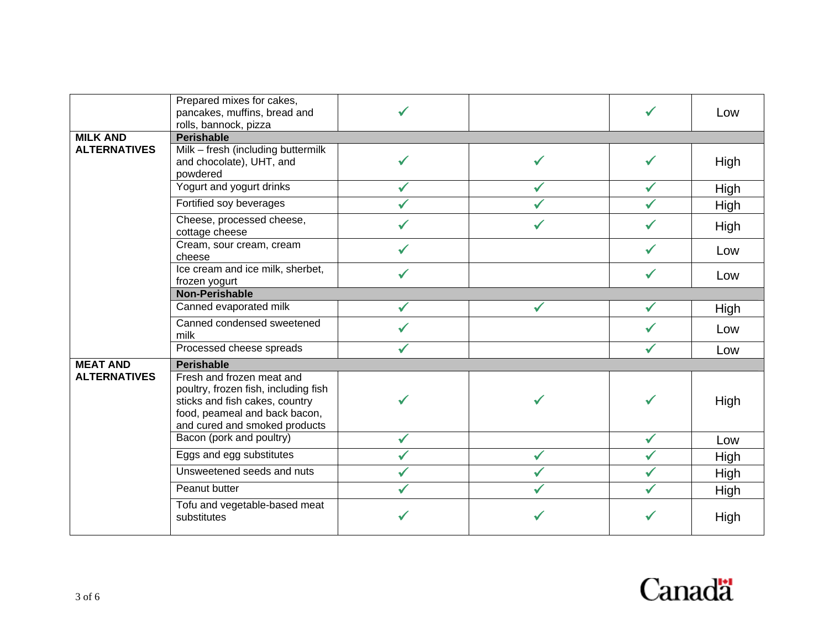|                     | Prepared mixes for cakes,<br>pancakes, muffins, bread and<br>rolls, bannock, pizza                                                                                    |  |   | Low  |
|---------------------|-----------------------------------------------------------------------------------------------------------------------------------------------------------------------|--|---|------|
| <b>MILK AND</b>     | <b>Perishable</b>                                                                                                                                                     |  |   |      |
| <b>ALTERNATIVES</b> | Milk - fresh (including buttermilk<br>and chocolate), UHT, and<br>powdered                                                                                            |  |   | High |
|                     | Yogurt and yogurt drinks                                                                                                                                              |  |   | High |
|                     | Fortified soy beverages                                                                                                                                               |  |   | High |
|                     | Cheese, processed cheese,<br>cottage cheese                                                                                                                           |  |   | High |
|                     | Cream, sour cream, cream<br>cheese                                                                                                                                    |  |   | Low  |
|                     | Ice cream and ice milk, sherbet,<br>frozen yogurt                                                                                                                     |  | ✔ | Low  |
|                     | <b>Non-Perishable</b>                                                                                                                                                 |  |   |      |
|                     | Canned evaporated milk                                                                                                                                                |  |   | High |
|                     | Canned condensed sweetened<br>milk                                                                                                                                    |  |   | Low  |
|                     | Processed cheese spreads                                                                                                                                              |  |   | Low  |
| <b>MEAT AND</b>     | <b>Perishable</b>                                                                                                                                                     |  |   |      |
| <b>ALTERNATIVES</b> | Fresh and frozen meat and<br>poultry, frozen fish, including fish<br>sticks and fish cakes, country<br>food, peameal and back bacon,<br>and cured and smoked products |  |   | High |
|                     | Bacon (pork and poultry)                                                                                                                                              |  |   | Low  |
|                     | Eggs and egg substitutes                                                                                                                                              |  |   | High |
|                     | Unsweetened seeds and nuts                                                                                                                                            |  |   | High |
|                     | Peanut butter                                                                                                                                                         |  |   | High |
|                     | Tofu and vegetable-based meat<br>substitutes                                                                                                                          |  |   | High |

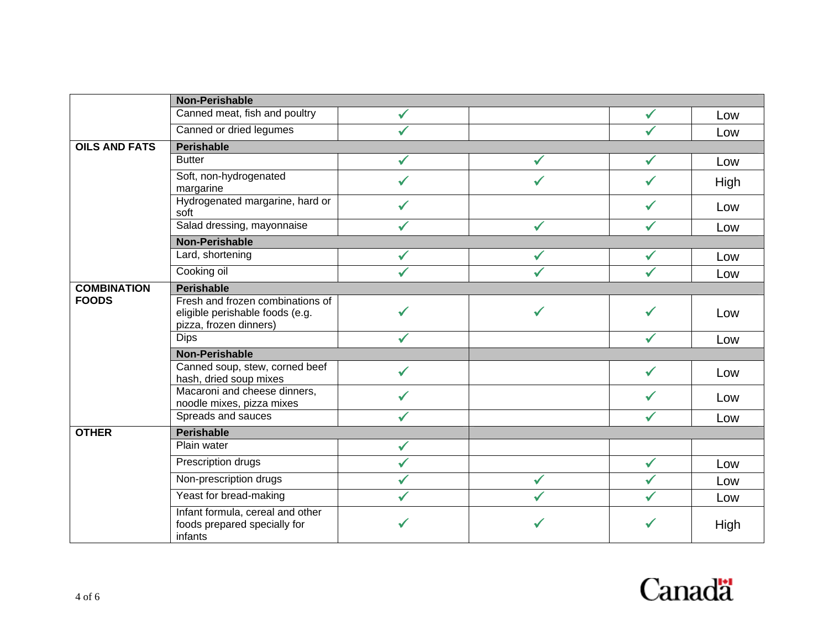|                      | <b>Non-Perishable</b>                                                                         |              |              |              |      |  |  |
|----------------------|-----------------------------------------------------------------------------------------------|--------------|--------------|--------------|------|--|--|
|                      | Canned meat, fish and poultry                                                                 |              |              | ✓            | Low  |  |  |
|                      | Canned or dried legumes                                                                       |              |              | ✓            | Low  |  |  |
| <b>OILS AND FATS</b> | Perishable                                                                                    |              |              |              |      |  |  |
|                      | <b>Butter</b>                                                                                 |              |              |              | Low  |  |  |
|                      | Soft, non-hydrogenated<br>margarine                                                           |              | ✓            | ✓            | High |  |  |
|                      | Hydrogenated margarine, hard or<br>soft                                                       |              |              | ✓            | Low  |  |  |
|                      | Salad dressing, mayonnaise                                                                    |              | ✓            |              | Low  |  |  |
|                      | <b>Non-Perishable</b>                                                                         |              |              |              |      |  |  |
|                      | Lard, shortening                                                                              | ✓            | $\checkmark$ | $\checkmark$ | Low  |  |  |
|                      | Cooking oil                                                                                   |              |              | $\checkmark$ | Low  |  |  |
| <b>COMBINATION</b>   | <b>Perishable</b>                                                                             |              |              |              |      |  |  |
| <b>FOODS</b>         | Fresh and frozen combinations of<br>eligible perishable foods (e.g.<br>pizza, frozen dinners) |              | ✔            | ✔            | Low  |  |  |
|                      | <b>Dips</b>                                                                                   |              |              |              | Low  |  |  |
|                      | <b>Non-Perishable</b>                                                                         |              |              |              |      |  |  |
|                      | Canned soup, stew, corned beef<br>hash, dried soup mixes                                      |              |              |              | Low  |  |  |
|                      | Macaroni and cheese dinners,<br>noodle mixes, pizza mixes                                     |              |              |              | Low  |  |  |
|                      | Spreads and sauces                                                                            | $\checkmark$ |              | ✓            | Low  |  |  |
| <b>OTHER</b>         | <b>Perishable</b>                                                                             |              |              |              |      |  |  |
|                      | Plain water                                                                                   | ✓            |              |              |      |  |  |
|                      | Prescription drugs                                                                            |              |              | $\checkmark$ | Low  |  |  |
|                      | Non-prescription drugs                                                                        |              | ✔            |              | Low  |  |  |
|                      | Yeast for bread-making                                                                        |              | ✔            | ✓            | Low  |  |  |
|                      | Infant formula, cereal and other<br>foods prepared specially for<br>infants                   |              | ✓            |              | High |  |  |

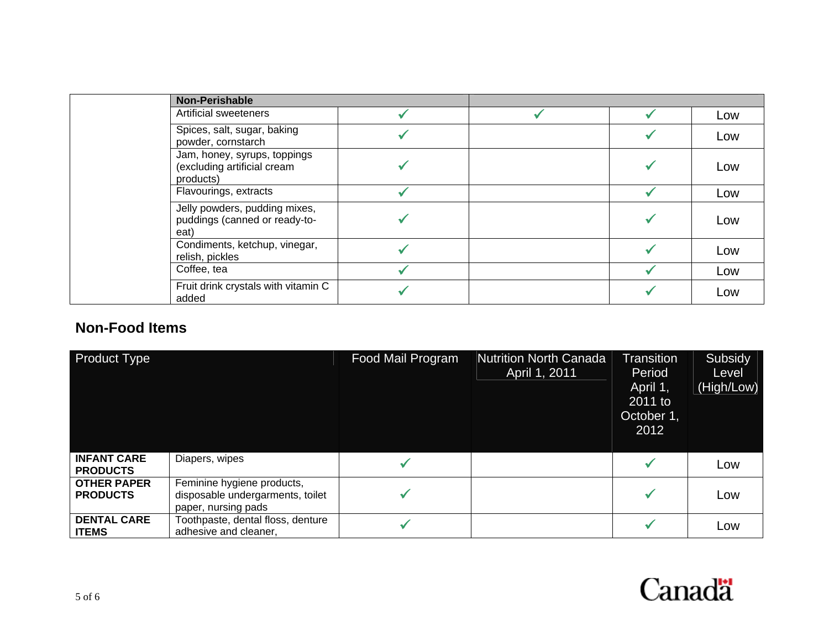| <b>Non-Perishable</b>                                                    |  |     |
|--------------------------------------------------------------------------|--|-----|
| Artificial sweeteners                                                    |  | Low |
| Spices, salt, sugar, baking<br>powder, cornstarch                        |  | Low |
| Jam, honey, syrups, toppings<br>(excluding artificial cream<br>products) |  | Low |
| Flavourings, extracts                                                    |  | Low |
| Jelly powders, pudding mixes,<br>puddings (canned or ready-to-<br>eat)   |  | Low |
| Condiments, ketchup, vinegar,<br>relish, pickles                         |  | Low |
| Coffee, tea                                                              |  | Low |
| Fruit drink crystals with vitamin C<br>added                             |  | Low |

## **Non-Food Items**

| <b>Product Type</b>                   |                                                                                       | Food Mail Program | <b>Nutrition North Canada</b><br>April 1, 2011 | <b>Transition</b><br>Period<br>April 1,<br>2011 to<br>October 1,<br>2012 | Subsidy<br>Level<br>(High/Low) |
|---------------------------------------|---------------------------------------------------------------------------------------|-------------------|------------------------------------------------|--------------------------------------------------------------------------|--------------------------------|
| <b>INFANT CARE</b><br><b>PRODUCTS</b> | Diapers, wipes                                                                        |                   |                                                |                                                                          | Low                            |
| <b>OTHER PAPER</b><br><b>PRODUCTS</b> | Feminine hygiene products,<br>disposable undergarments, toilet<br>paper, nursing pads |                   |                                                |                                                                          | Low                            |
| <b>DENTAL CARE</b><br><b>ITEMS</b>    | Toothpaste, dental floss, denture<br>adhesive and cleaner,                            |                   |                                                |                                                                          | Low                            |